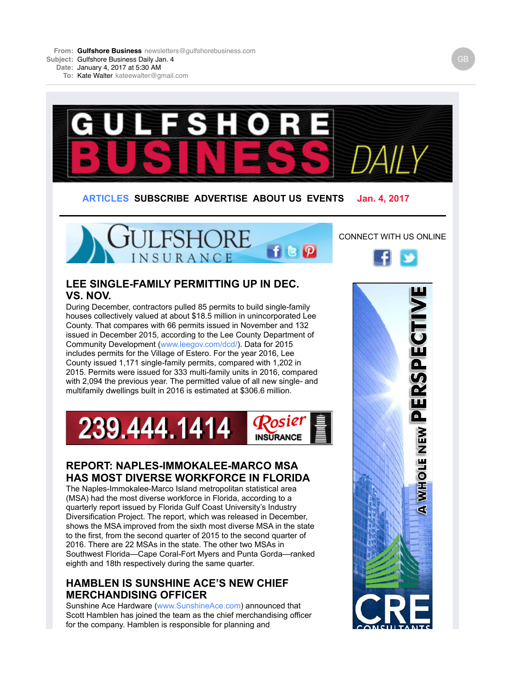**From: Gulfshore Business** newsletters@gulfshorebusiness.com **Subject:** Gulfshore Business Daily Jan. 4

**Date:** January 4, 2017 at 5:30 AM

**To:** Kate Walter kateewalter@gmail.com



shows the MSA improved from the sixth most diverse MSA in the state to the first, from the second quarter of 2015 to the second quarter of 2016. There are 22 MSAs in the state. The other two MSAs in Southwest Florida—Cape Coral-Fort Myers and Punta Gorda—ranked eighth and 18th respectively during the same quarter.

#### **HAMBLEN IS SUNSHINE ACE'S NEW CHIEF MERCHANDISING OFFICER**

Sunshine Ace Hardware (www.SunshineAce.com) announced that Scott Hamblen has joined the team as the chief merchandising officer for the company. Hamblen is responsible for planning and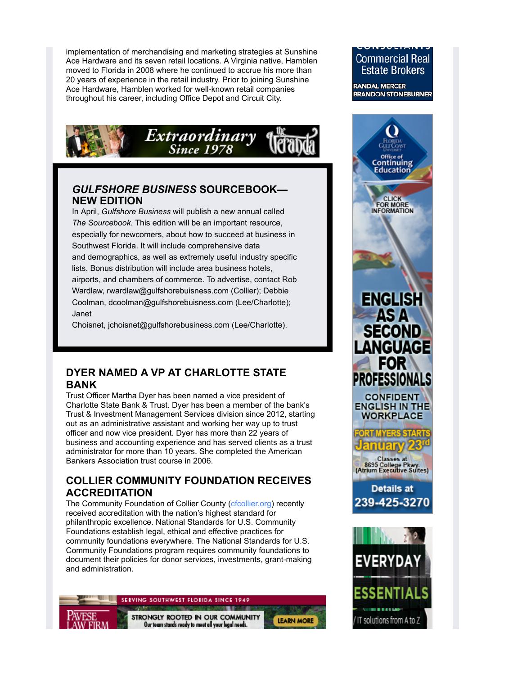p y p p g implementation of merchandising and marketing strategies at Sunshine Ace Hardware and its seven retail locations. A Virginia native, Hamblen moved to Florida in 2008 where he continued to accrue his more than 20 years of experience in the retail industry. Prior to joining Sunshine Ace Hardware, Hamblen worked for well-known retail companies throughout his career, including Office Depot and Circuit City.



## *GULFSHORE BUSINESS* **SOURCEBOOK— NEW EDITION**

In April, *Gulfshore Business* will publish a new annual called *The Sourcebook*. This edition will be an important resource, especially for newcomers, about how to succeed at business in Southwest Florida. It will include comprehensive data and demographics, as well as extremely useful industry specific lists. Bonus distribution will include area business hotels, airports, and chambers of commerce. To advertise, contact Rob Wardlaw, rwardlaw@gulfshorebuisness.com (Collier); Debbie Coolman, dcoolman@gulfshorebuisness.com (Lee/Charlotte); Janet

Choisnet, jchoisnet@gulfshorebusiness.com (Lee/Charlotte).

## **DYER NAMED A VP AT CHARLOTTE STATE BANK**

Trust Officer Martha Dyer has been named a vice president of Charlotte State Bank & Trust. Dyer has been a member of the bank's Trust & Investment Management Services division since 2012, starting out as an administrative assistant and working her way up to trust officer and now vice president. Dyer has more than 22 years of business and accounting experience and has served clients as a trust administrator for more than 10 years. She completed the American Bankers Association trust course in 2006.

## **COLLIER COMMUNITY FOUNDATION RECEIVES ACCREDITATION**

The Community Foundation of Collier County (cfcollier.org) recently received accreditation with the nation's highest standard for philanthropic excellence. National Standards for U.S. Community Foundations establish legal, ethical and effective practices for community foundations everywhere. The National Standards for U.S. Community Foundations program requires community foundations to document their policies for donor services, investments, grant-making and administration.

SERVING SOUTHWEST FLORIDA SINCE 1949



STRONGLY ROOTED IN OUR COMMUNITY Our team stands ready to meet all your legal needs.

**LEARN MORE** 

# **Commercial Real Estate Brokers**

**RANDAL MERCER BRANDON STONEBURNER** 

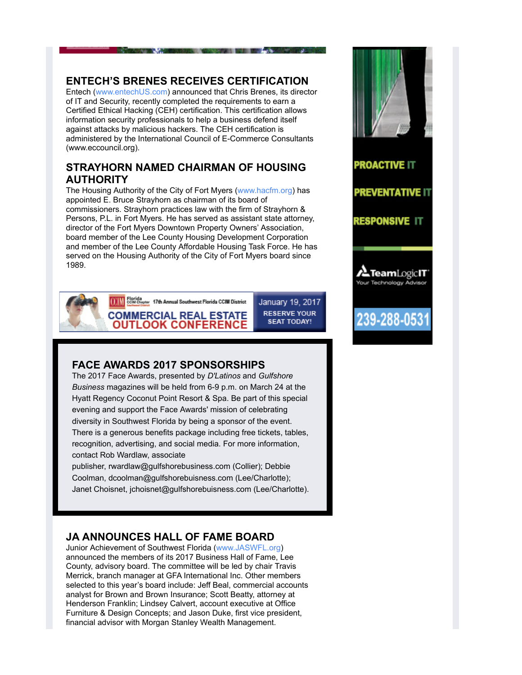## **ENTECH'S BRENES RECEIVES CERTIFICATION**

Entech (www.entechUS.com) announced that Chris Brenes, its director of IT and Security, recently completed the requirements to earn a Certified Ethical Hacking (CEH) certification. This certification allows information security professionals to help a business defend itself against attacks by malicious hackers. The CEH certification is administered by the International Council of E-Commerce Consultants (www.eccouncil.org).

#### **STRAYHORN NAMED CHAIRMAN OF HOUSING AUTHORITY**

The Housing Authority of the City of Fort Myers (www.hacfm.org) has appointed E. Bruce Strayhorn as chairman of its board of commissioners. Strayhorn practices law with the firm of Strayhorn & Persons, P.L. in Fort Myers. He has served as assistant state attorney, director of the Fort Myers Downtown Property Owners' Association, board member of the Lee County Housing Development Corporation and member of the Lee County Affordable Housing Task Force. He has served on the Housing Authority of the City of Fort Myers board since 1989.



(CLM) Cont Cheeser 17th Annual Southwest Florida CCIM District **COMMERCIAL REAL ESTATE OUTLOOK CONFERENCE** 

January 19, 2017 **RESERVE YOUR SEAT TODAY!** 

**THE REAL PROPERTY AND RESIDENCE** 

## **FACE AWARDS 2017 SPONSORSHIPS**

The 2017 Face Awards, presented by *D'Latinos* and *Gulfshore Business* magazines will be held from 6-9 p.m. on March 24 at the Hyatt Regency Coconut Point Resort & Spa. Be part of this special evening and support the Face Awards' mission of celebrating diversity in Southwest Florida by being a sponsor of the event. There is a generous benefits package including free tickets, tables, recognition, advertising, and social media. For more information, contact Rob Wardlaw, associate

publisher, rwardlaw@gulfshorebusiness.com (Collier); Debbie Coolman, dcoolman@gulfshorebuisness.com (Lee/Charlotte); Janet Choisnet, jchoisnet@gulfshorebuisness.com (Lee/Charlotte).

## **JA ANNOUNCES HALL OF FAME BOARD**

Junior Achievement of Southwest Florida (www.JASWFL.org) announced the members of its 2017 Business Hall of Fame, Lee County, advisory board. The committee will be led by chair Travis Merrick, branch manager at GFA International Inc. Other members selected to this year's board include: Jeff Beal, commercial accounts analyst for Brown and Brown Insurance; Scott Beatty, attorney at Henderson Franklin; Lindsey Calvert, account executive at Office Furniture & Design Concepts; and Jason Duke, first vice president, financial advisor with Morgan Stanley Wealth Management.

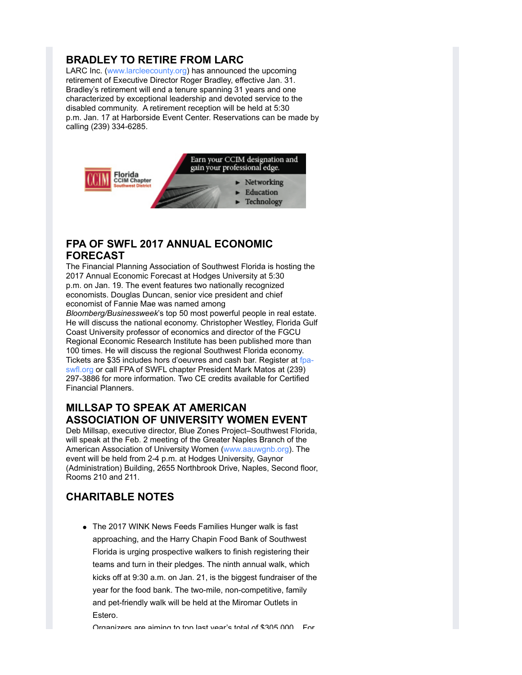# **BRADLEY TO RETIRE FROM LARC**

LARC Inc. (www.larcleecounty.org) has announced the upcoming retirement of Executive Director Roger Bradley, effective Jan. 31. Bradley's retirement will end a tenure spanning 31 years and one characterized by exceptional leadership and devoted service to the disabled community. A retirement reception will be held at 5:30 p.m. Jan. 17 at Harborside Event Center. Reservations can be made by calling (239) 334-6285.



# **FPA OF SWFL 2017 ANNUAL ECONOMIC FORECAST**

The Financial Planning Association of Southwest Florida is hosting the 2017 Annual Economic Forecast at Hodges University at 5:30 p.m. on Jan. 19. The event features two nationally recognized economists. Douglas Duncan, senior vice president and chief economist of Fannie Mae was named among

*Bloomberg/Businessweek*'s top 50 most powerful people in real estate. He will discuss the national economy. Christopher Westley, Florida Gulf Coast University professor of economics and director of the FGCU Regional Economic Research Institute has been published more than 100 times. He will discuss the regional Southwest Florida economy. Tickets are \$35 includes hors d'oeuvres and cash bar. Register at fpaswfl.org or call FPA of SWFL chapter President Mark Matos at (239) 297-3886 for more information. Two CE credits available for Certified Financial Planners.

#### **MILLSAP TO SPEAK AT AMERICAN ASSOCIATION OF UNIVERSITY WOMEN EVENT**

Deb Millsap, executive director, Blue Zones Project–Southwest Florida, will speak at the Feb. 2 meeting of the Greater Naples Branch of the American Association of University Women (www.aauwgnb.org). The event will be held from 2-4 p.m. at Hodges University, Gaynor (Administration) Building, 2655 Northbrook Drive, Naples, Second floor, Rooms 210 and 211.

# **CHARITABLE NOTES**

The 2017 WINK News Feeds Families Hunger walk is fast approaching, and the Harry Chapin Food Bank of Southwest Florida is urging prospective walkers to finish registering their teams and turn in their pledges. The ninth annual walk, which kicks off at 9:30 a.m. on Jan. 21, is the biggest fundraiser of the year for the food bank. The two-mile, non-competitive, family and pet-friendly walk will be held at the Miromar Outlets in Estero.

Organizers are aiming to top last year's total of \$305,000 For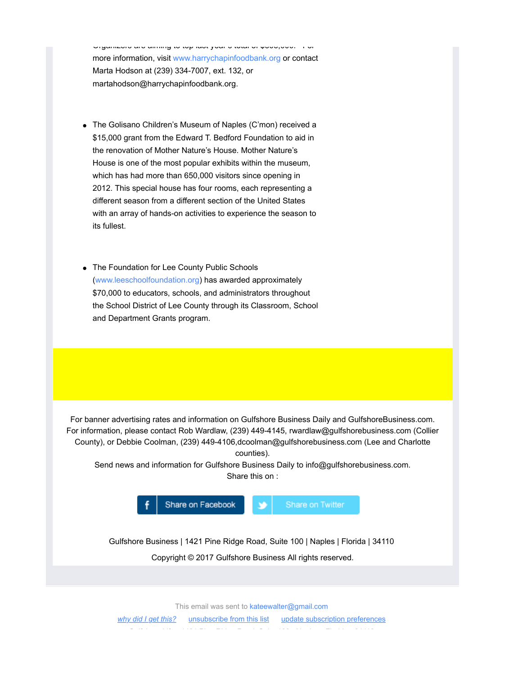Organizers are aiming to top last year s total of \$305,000. For more information, visit www.harrychapinfoodbank.org or contact Marta Hodson at (239) 334-7007, ext. 132, or martahodson@harrychapinfoodbank.org.

- The Golisano Children's Museum of Naples (C'mon) received a \$15,000 grant from the Edward T. Bedford Foundation to aid in the renovation of Mother Nature's House. Mother Nature's House is one of the most popular exhibits within the museum, which has had more than 650,000 visitors since opening in 2012. This special house has four rooms, each representing a different season from a different section of the United States with an array of hands-on activities to experience the season to its fullest.
- The Foundation for Lee County Public Schools (www.leeschoolfoundation.org) has awarded approximately \$70,000 to educators, schools, and administrators throughout the School District of Lee County through its Classroom, School and Department Grants program.

For banner advertising rates and information on Gulfshore Business Daily and GulfshoreBusiness.com. For information, please contact Rob Wardlaw, (239) 449-4145, rwardlaw@gulfshorebusiness.com (Collier County), or Debbie Coolman, (239) 449-4106,dcoolman@gulfshorebusiness.com (Lee and Charlotte counties).

Send news and information for Gulfshore Business Daily to info@gulfshorebusiness.com. Share this on :



Gulfshore Business | 1421 Pine Ridge Road, Suite 100 | Naples | Florida | 34110

Copyright © 2017 Gulfshore Business All rights reserved.

This email was sent to kateewalter@gmail.com